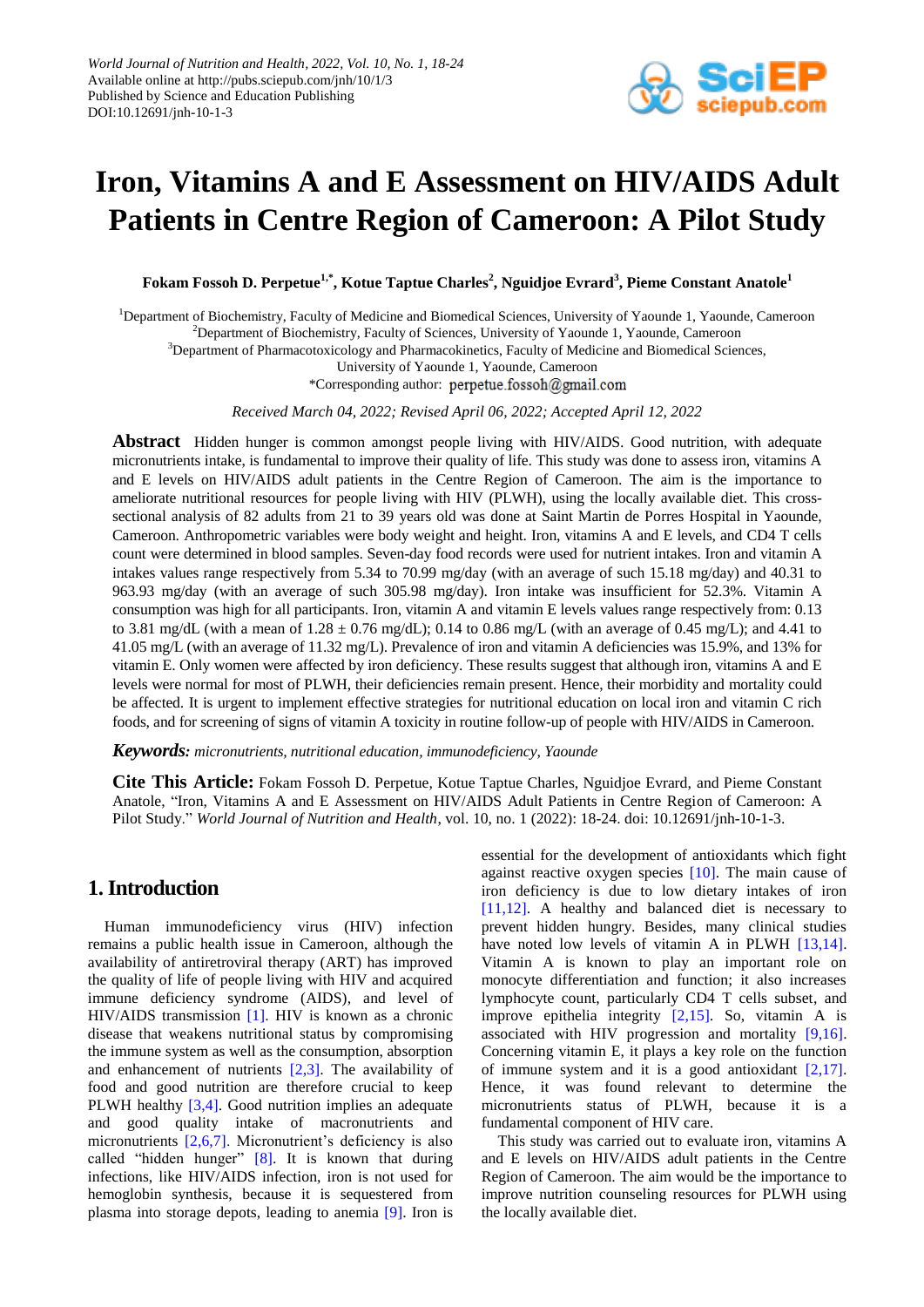

# **Iron, Vitamins A and E Assessment on HIV/AIDS Adult Patients in Centre Region of Cameroon: A Pilot Study**

**Fokam Fossoh D. Perpetue1,\*, Kotue Taptue Charles<sup>2</sup> , Nguidjoe Evrard<sup>3</sup> , Pieme Constant Anatole<sup>1</sup>**

<sup>1</sup>Department of Biochemistry, Faculty of Medicine and Biomedical Sciences, University of Yaounde 1, Yaounde, Cameroon <sup>2</sup>Department of Biochemistry, Faculty of Sciences, University of Yaounde 1, Yaounde, Cameroon

<sup>3</sup>Department of Pharmacotoxicology and Pharmacokinetics, Faculty of Medicine and Biomedical Sciences,

University of Yaounde 1, Yaounde, Cameroon

\*Corresponding author: perpetue.fossoh@gmail.com

*Received March 04, 2022; Revised April 06, 2022; Accepted April 12, 2022*

**Abstract** Hidden hunger is common amongst people living with HIV/AIDS. Good nutrition, with adequate micronutrients intake, is fundamental to improve their quality of life. This study was done to assess iron, vitamins A and E levels on HIV/AIDS adult patients in the Centre Region of Cameroon. The aim is the importance to ameliorate nutritional resources for people living with HIV (PLWH), using the locally available diet. This crosssectional analysis of 82 adults from 21 to 39 years old was done at Saint Martin de Porres Hospital in Yaounde, Cameroon. Anthropometric variables were body weight and height. Iron, vitamins A and E levels, and CD4 T cells count were determined in blood samples. Seven-day food records were used for nutrient intakes. Iron and vitamin A intakes values range respectively from 5.34 to 70.99 mg/day (with an average of such 15.18 mg/day) and 40.31 to 963.93 mg/day (with an average of such 305.98 mg/day). Iron intake was insufficient for 52.3%. Vitamin A consumption was high for all participants. Iron, vitamin A and vitamin E levels values range respectively from: 0.13 to 3.81 mg/dL (with a mean of  $1.28 \pm 0.76$  mg/dL); 0.14 to 0.86 mg/L (with an average of 0.45 mg/L); and 4.41 to 41.05 mg/L (with an average of 11.32 mg/L). Prevalence of iron and vitamin A deficiencies was 15.9%, and 13% for vitamin E. Only women were affected by iron deficiency. These results suggest that although iron, vitamins A and E levels were normal for most of PLWH, their deficiencies remain present. Hence, their morbidity and mortality could be affected. It is urgent to implement effective strategies for nutritional education on local iron and vitamin C rich foods, and for screening of signs of vitamin A toxicity in routine follow-up of people with HIV/AIDS in Cameroon.

*Keywords: micronutrients, nutritional education, immunodeficiency, Yaounde*

**Cite This Article:** Fokam Fossoh D. Perpetue, Kotue Taptue Charles, Nguidjoe Evrard, and Pieme Constant Anatole, "Iron, Vitamins A and E Assessment on HIV/AIDS Adult Patients in Centre Region of Cameroon: A Pilot Study." *World Journal of Nutrition and Health*, vol. 10, no. 1 (2022): 18-24. doi: 10.12691/jnh-10-1-3.

# **1. Introduction**

Human immunodeficiency virus (HIV) infection remains a public health issue in Cameroon, although the availability of antiretroviral therapy (ART) has improved the quality of life of people living with HIV and acquired immune deficiency syndrome (AIDS), and level of HIV/AIDS transmission [\[1\].](#page-5-0) HIV is known as a chronic disease that weakens nutritional status by compromising the immune system as well as the consumption, absorption and enhancement of nutrients [\[2,3\].](#page-5-1) The availability of food and good nutrition are therefore crucial to keep PLWH healthy [\[3,4\].](#page-5-2) Good nutrition implies an adequate and good quality intake of macronutrients and micronutrients [\[2,6,7\].](#page-5-1) Micronutrient's deficiency is also called "hidden hunger" [\[8\].](#page-5-3) It is known that during infections, like HIV/AIDS infection, iron is not used for hemoglobin synthesis, because it is sequestered from plasma into storage depots, leading to anemia [\[9\].](#page-5-4) Iron is essential for the development of antioxidants which fight against reactive oxygen species [\[10\].](#page-5-5) The main cause of iron deficiency is due to low dietary intakes of iron [\[11,12\].](#page-6-0) A healthy and balanced diet is necessary to prevent hidden hungry. Besides, many clinical studies have noted low levels of vitamin A in PLWH [\[13,14\].](#page-6-1) Vitamin A is known to play an important role on monocyte differentiation and function; it also increases lymphocyte count, particularly CD4 T cells subset, and improve epithelia integrity [\[2,15\].](#page-5-1) So, vitamin A is associated with HIV progression and mortality [\[9,16\].](#page-5-4) Concerning vitamin E, it plays a key role on the function of immune system and it is a good antioxidant  $[2,17]$ . Hence, it was found relevant to determine the micronutrients status of PLWH, because it is a fundamental component of HIV care.

This study was carried out to evaluate iron, vitamins A and E levels on HIV/AIDS adult patients in the Centre Region of Cameroon. The aim would be the importance to improve nutrition counseling resources for PLWH using the locally available diet.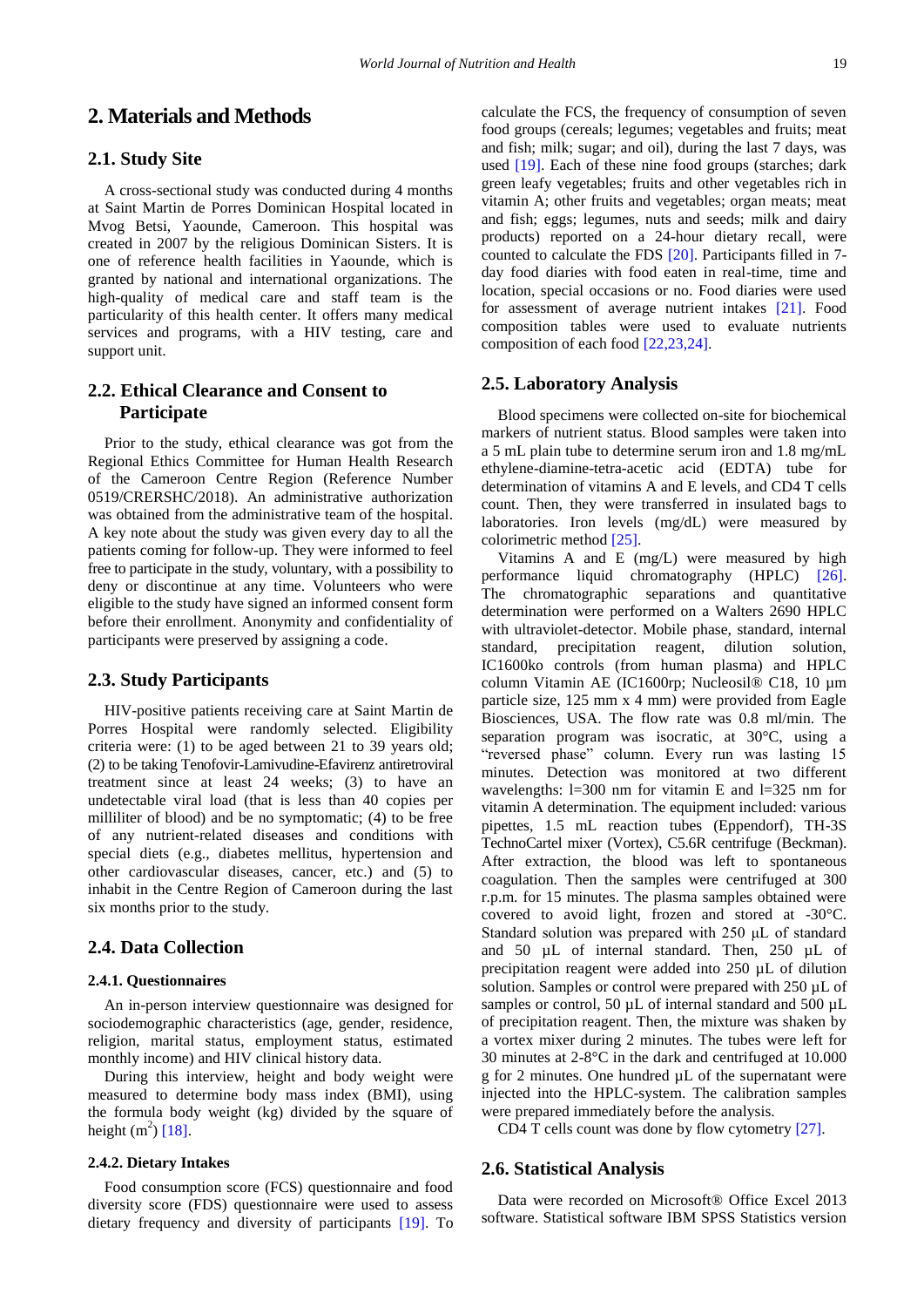# **2. Materials and Methods**

### **2.1. Study Site**

A cross-sectional study was conducted during 4 months at Saint Martin de Porres Dominican Hospital located in Mvog Betsi, Yaounde, Cameroon. This hospital was created in 2007 by the religious Dominican Sisters. It is one of reference health facilities in Yaounde, which is granted by national and international organizations. The high-quality of medical care and staff team is the particularity of this health center. It offers many medical services and programs, with a HIV testing, care and support unit.

# **2.2. Ethical Clearance and Consent to Participate**

Prior to the study, ethical clearance was got from the Regional Ethics Committee for Human Health Research of the Cameroon Centre Region (Reference Number 0519/CRERSHC/2018). An administrative authorization was obtained from the administrative team of the hospital. A key note about the study was given every day to all the patients coming for follow-up. They were informed to feel free to participate in the study, voluntary, with a possibility to deny or discontinue at any time. Volunteers who were eligible to the study have signed an informed consent form before their enrollment. Anonymity and confidentiality of participants were preserved by assigning a code.

### **2.3. Study Participants**

HIV-positive patients receiving care at Saint Martin de Porres Hospital were randomly selected. Eligibility criteria were: (1) to be aged between 21 to 39 years old; (2) to be taking Tenofovir-Lamivudine-Efavirenz antiretroviral treatment since at least 24 weeks; (3) to have an undetectable viral load (that is less than 40 copies per milliliter of blood) and be no symptomatic; (4) to be free of any nutrient-related diseases and conditions with special diets (e.g., diabetes mellitus, hypertension and other cardiovascular diseases, cancer, etc.) and (5) to inhabit in the Centre Region of Cameroon during the last six months prior to the study.

# **2.4. Data Collection**

#### **2.4.1. Questionnaires**

An in-person interview questionnaire was designed for sociodemographic characteristics (age, gender, residence, religion, marital status, employment status, estimated monthly income) and HIV clinical history data.

During this interview, height and body weight were measured to determine body mass index (BMI), using the formula body weight (kg) divided by the square of height  $(m^2)$  [\[18\].](#page-6-2)

### **2.4.2. Dietary Intakes**

Food consumption score (FCS) questionnaire and food diversity score (FDS) questionnaire were used to assess dietary frequency and diversity of participants [\[19\].](#page-6-3) To

calculate the FCS, the frequency of consumption of seven food groups (cereals; legumes; vegetables and fruits; meat and fish; milk; sugar; and oil), during the last 7 days, was used [\[19\].](#page-6-3) Each of these nine food groups (starches; dark green leafy vegetables; fruits and other vegetables rich in vitamin A; other fruits and vegetables; organ meats; meat and fish; eggs; legumes, nuts and seeds; milk and dairy products) reported on a 24-hour dietary recall, were counted to calculate the FDS [\[20\].](#page-6-4) Participants filled in 7 day food diaries with food eaten in real-time, time and location, special occasions or no. Food diaries were used for assessment of average nutrient intakes [\[21\].](#page-6-5) Food composition tables were used to evaluate nutrients composition of each food [\[22,23,24\].](#page-6-6)

# **2.5. Laboratory Analysis**

Blood specimens were collected on-site for biochemical markers of nutrient status. Blood samples were taken into a 5 mL plain tube to determine serum iron and 1.8 mg/mL ethylene-diamine-tetra-acetic acid (EDTA) tube for determination of vitamins A and E levels, and CD4 T cells count. Then, they were transferred in insulated bags to laboratories. Iron levels (mg/dL) were measured by colorimetric method [\[25\].](#page-6-7)

Vitamins A and E (mg/L) were measured by high performance liquid chromatography (HPLC) [\[26\].](#page-6-8) The chromatographic separations and quantitative determination were performed on a Walters 2690 HPLC with ultraviolet-detector. Mobile phase, standard, internal standard, precipitation reagent, dilution solution, IC1600ko controls (from human plasma) and HPLC column Vitamin AE (IC1600rp; Nucleosil® C18, 10 µm particle size, 125 mm x 4 mm) were provided from Eagle Biosciences, USA. The flow rate was 0.8 ml/min. The separation program was isocratic, at 30°C, using a "reversed phase" column. Every run was lasting 15 minutes. Detection was monitored at two different wavelengths: l=300 nm for vitamin E and l=325 nm for vitamin A determination. The equipment included: various pipettes, 1.5 mL reaction tubes (Eppendorf), TH-3S TechnoCartel mixer (Vortex), C5.6R centrifuge (Beckman). After extraction, the blood was left to spontaneous coagulation. Then the samples were centrifuged at 300 r.p.m. for 15 minutes. The plasma samples obtained were covered to avoid light, frozen and stored at -30°C. Standard solution was prepared with 250 μL of standard and 50 µL of internal standard. Then, 250 µL of precipitation reagent were added into 250 µL of dilution solution. Samples or control were prepared with 250 µL of samples or control, 50  $\mu$ L of internal standard and 500  $\mu$ L of precipitation reagent. Then, the mixture was shaken by a vortex mixer during 2 minutes. The tubes were left for 30 minutes at 2-8°C in the dark and centrifuged at 10.000 g for 2 minutes. One hundred µL of the supernatant were injected into the HPLC-system. The calibration samples were prepared immediately before the analysis.

CD4 T cells count was done by flow cytometr[y \[27\].](#page-6-9)

# **2.6. Statistical Analysis**

Data were recorded on Microsoft® Office Excel 2013 software. Statistical software IBM SPSS Statistics version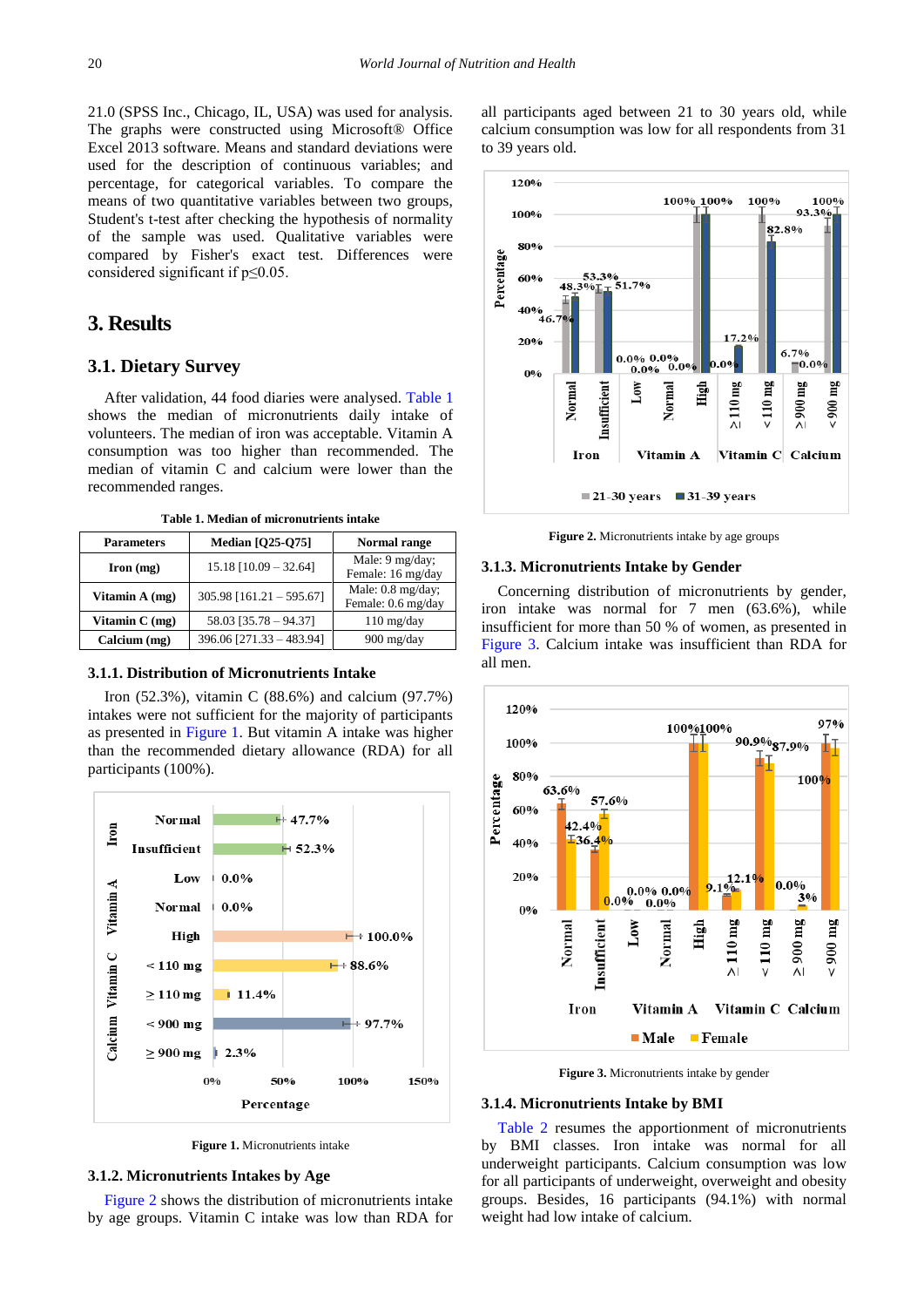21.0 (SPSS Inc., Chicago, IL, USA) was used for analysis. The graphs were constructed using Microsoft® Office Excel 2013 software. Means and standard deviations were used for the description of continuous variables; and percentage, for categorical variables. To compare the means of two quantitative variables between two groups, Student's t-test after checking the hypothesis of normality of the sample was used. Qualitative variables were compared by Fisher's exact test. Differences were considered significant if p≤0.05.

# **3. Results**

# **3.1. Dietary Survey**

After validation, 44 food diaries were analysed. [Table 1](#page-2-0) shows the median of micronutrients daily intake of volunteers. The median of iron was acceptable. Vitamin A consumption was too higher than recommended. The median of vitamin C and calcium were lower than the recommended ranges.

**Table 1. Median of micronutrients intake**

<span id="page-2-0"></span>

| <b>Parameters</b>  | <b>Median [Q25-Q75]</b>    | Normal range                            |  |  |
|--------------------|----------------------------|-----------------------------------------|--|--|
| $\Gamma$ Iron (mg) | $15.18$ [10.09 - 32.64]    | Male: 9 mg/day;<br>Female: 16 mg/day    |  |  |
| Vitamin A (mg)     | $305.98$ [161.21 - 595.67] | Male: 0.8 mg/day;<br>Female: 0.6 mg/day |  |  |
| Vitamin $C$ (mg)   | 58.03 [35.78 - 94.37]      | $110 \text{ mg/day}$                    |  |  |
| Calcium (mg)       | 396.06 [271.33 - 483.94]   | 900 mg/day                              |  |  |

#### **3.1.1. Distribution of Micronutrients Intake**

Iron (52.3%), vitamin C (88.6%) and calcium (97.7%) intakes were not sufficient for the majority of participants as presented in [Figure 1.](#page-2-1) But vitamin A intake was higher than the recommended dietary allowance (RDA) for all participants (100%).

<span id="page-2-1"></span>

**Figure 1.** Micronutrients intake

#### **3.1.2. Micronutrients Intakes by Age**

[Figure 2](#page-2-2) shows the distribution of micronutrients intake by age groups. Vitamin C intake was low than RDA for all participants aged between 21 to 30 years old, while calcium consumption was low for all respondents from 31 to 39 years old.

<span id="page-2-2"></span>

**Figure 2.** Micronutrients intake by age groups

#### **3.1.3. Micronutrients Intake by Gender**

Concerning distribution of micronutrients by gender, iron intake was normal for 7 men (63.6%), while insufficient for more than 50 % of women, as presented in [Figure 3.](#page-2-3) Calcium intake was insufficient than RDA for all men.

<span id="page-2-3"></span>

**Figure 3.** Micronutrients intake by gender

#### **3.1.4. Micronutrients Intake by BMI**

[Table 2](#page-3-0) resumes the apportionment of micronutrients by BMI classes. Iron intake was normal for all underweight participants. Calcium consumption was low for all participants of underweight, overweight and obesity groups. Besides, 16 participants (94.1%) with normal weight had low intake of calcium.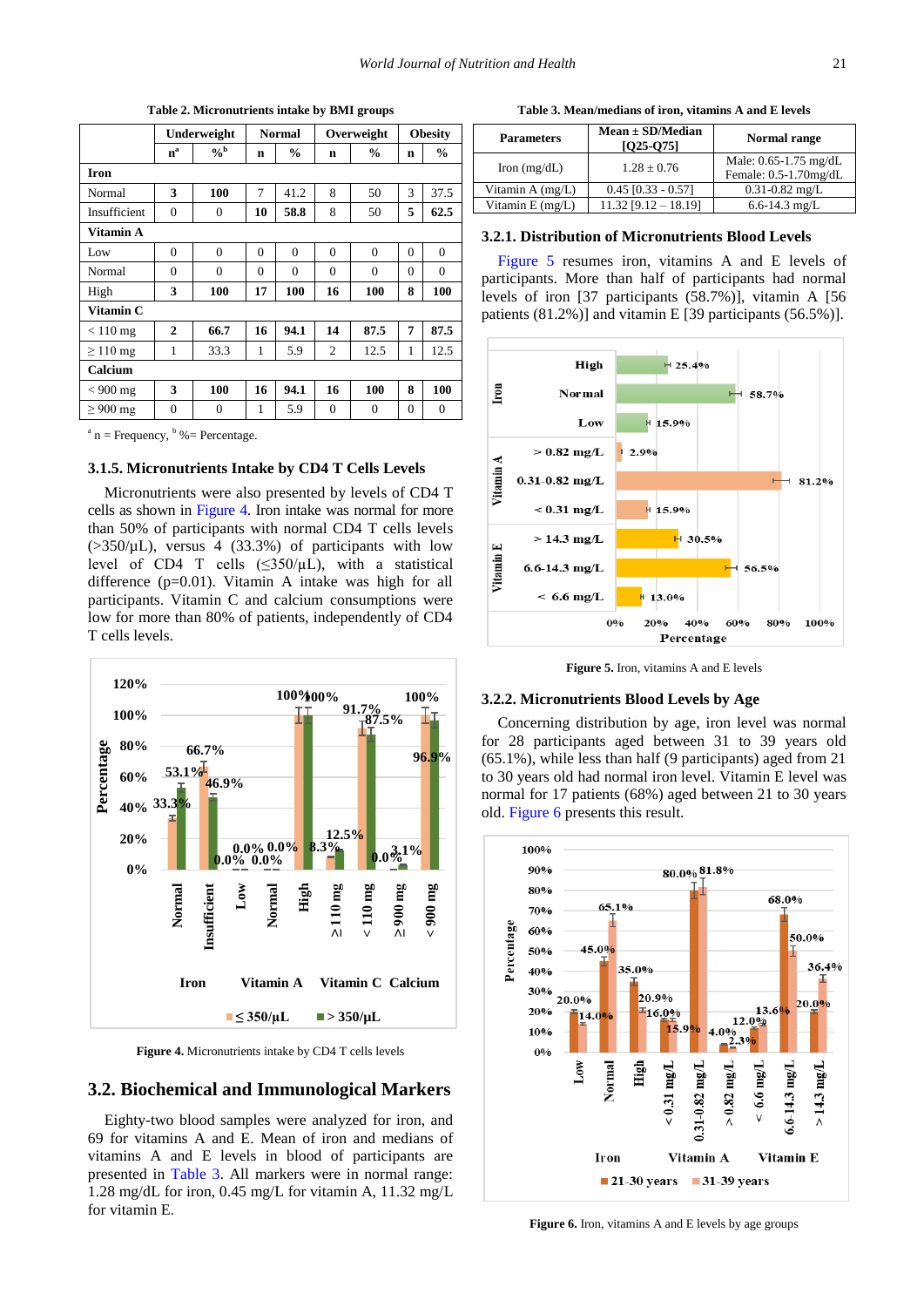<span id="page-3-0"></span>

|               | Underweight    |                | <b>Normal</b> |               | Overweight     |               | <b>Obesity</b> |               |
|---------------|----------------|----------------|---------------|---------------|----------------|---------------|----------------|---------------|
|               | $n^a$          | $\frac{0}{6}$  | n             | $\frac{6}{6}$ | n              | $\frac{0}{0}$ | n              | $\frac{6}{6}$ |
| <b>Iron</b>   |                |                |               |               |                |               |                |               |
| Normal        | 3              | 100            | 7             | 41.2          | 8              | 50            | 3              | 37.5          |
| Insufficient  | $\overline{0}$ | $\overline{0}$ | 10            | 58.8          | 8              | 50            | 5              | 62.5          |
| Vitamin A     |                |                |               |               |                |               |                |               |
| Low           | $\theta$       | $\theta$       | $\Omega$      | $\theta$      | $\theta$       | $\Omega$      | $\theta$       | $\Omega$      |
| Normal        | $\Omega$       | $\Omega$       | $\Omega$      | $\Omega$      | $\Omega$       | $\Omega$      | $\Omega$       | $\Omega$      |
| High          | 3              | 100            | 17            | 100           | 16             | 100           | 8              | 100           |
| Vitamin C     |                |                |               |               |                |               |                |               |
| $< 110$ mg    | $\mathbf{2}$   | 66.7           | 16            | 94.1          | 14             | 87.5          | 7              | 87.5          |
| $\geq$ 110 mg | 1              | 33.3           | 1             | 5.9           | $\overline{2}$ | 12.5          | 1              | 12.5          |
| Calcium       |                |                |               |               |                |               |                |               |
| $< 900$ mg    | 3              | 100            | 16            | 94.1          | 16             | 100           | 8              | 100           |
| $\geq 900$ mg | $\theta$       | $\theta$       | 1             | 5.9           | $\theta$       | $\theta$      | $\theta$       | $\Omega$      |

**Table 2. Micronutrients intake by BMI groups**

 $a^a$  n = Frequency,  $b^b$  % = Percentage.

#### **3.1.5. Micronutrients Intake by CD4 T Cells Levels**

Micronutrients were also presented by levels of CD4 T cells as shown in [Figure 4.](#page-3-1) Iron intake was normal for more than 50% of participants with normal CD4 T cells levels  $(>\frac{350}{\mu L})$ , versus 4 (33.3%) of participants with low level of CD4 T cells  $(\leq 350/\mu L)$ , with a statistical difference (p=0.01). Vitamin A intake was high for all participants. Vitamin C and calcium consumptions were low for more than 80% of patients, independently of CD4 T cells levels.

<span id="page-3-1"></span>

**Figure 4.** Micronutrients intake by CD4 T cells levels

### **3.2. Biochemical and Immunological Markers**

Eighty-two blood samples were analyzed for iron, and 69 for vitamins A and E. Mean of iron and medians of vitamins A and E levels in blood of participants are presented in [Table 3.](#page-3-2) All markers were in normal range: 1.28 mg/dL for iron, 0.45 mg/L for vitamin A, 11.32 mg/L for vitamin E.

**Table 3. Mean/medians of iron, vitamins A and E levels**

<span id="page-3-2"></span>

| <b>Parameters</b>      | $Mean \pm SD/Median$<br>$[025-075]$ | Normal range                                   |  |  |
|------------------------|-------------------------------------|------------------------------------------------|--|--|
| Iron $(mg/dL)$         | $1.28 + 0.76$                       | Male: 0.65-1.75 mg/dL<br>Female: 0.5-1.70mg/dL |  |  |
| Vitamin A (mg/L)       | $0.45$ [0.33 - 0.57]                | $0.31 - 0.82$ mg/L                             |  |  |
| Vitamin $E$ (mg/ $L$ ) | $11.32$ [9.12 - 18.19]              | 6.6-14.3 mg/L                                  |  |  |

#### **3.2.1. Distribution of Micronutrients Blood Levels**

[Figure 5](#page-3-3) resumes iron, vitamins A and E levels of participants. More than half of participants had normal levels of iron [37 participants (58.7%)], vitamin A [56 patients (81.2%)] and vitamin E [39 participants (56.5%)].

<span id="page-3-3"></span>

**Figure 5.** Iron, vitamins A and E levels

#### **3.2.2. Micronutrients Blood Levels by Age**

Concerning distribution by age, iron level was normal for 28 participants aged between 31 to 39 years old (65.1%), while less than half (9 participants) aged from 21 to 30 years old had normal iron level. Vitamin E level was normal for 17 patients (68%) aged between 21 to 30 years old. [Figure 6](#page-3-4) presents this result.

<span id="page-3-4"></span>

Figure 6. Iron, vitamins A and E levels by age groups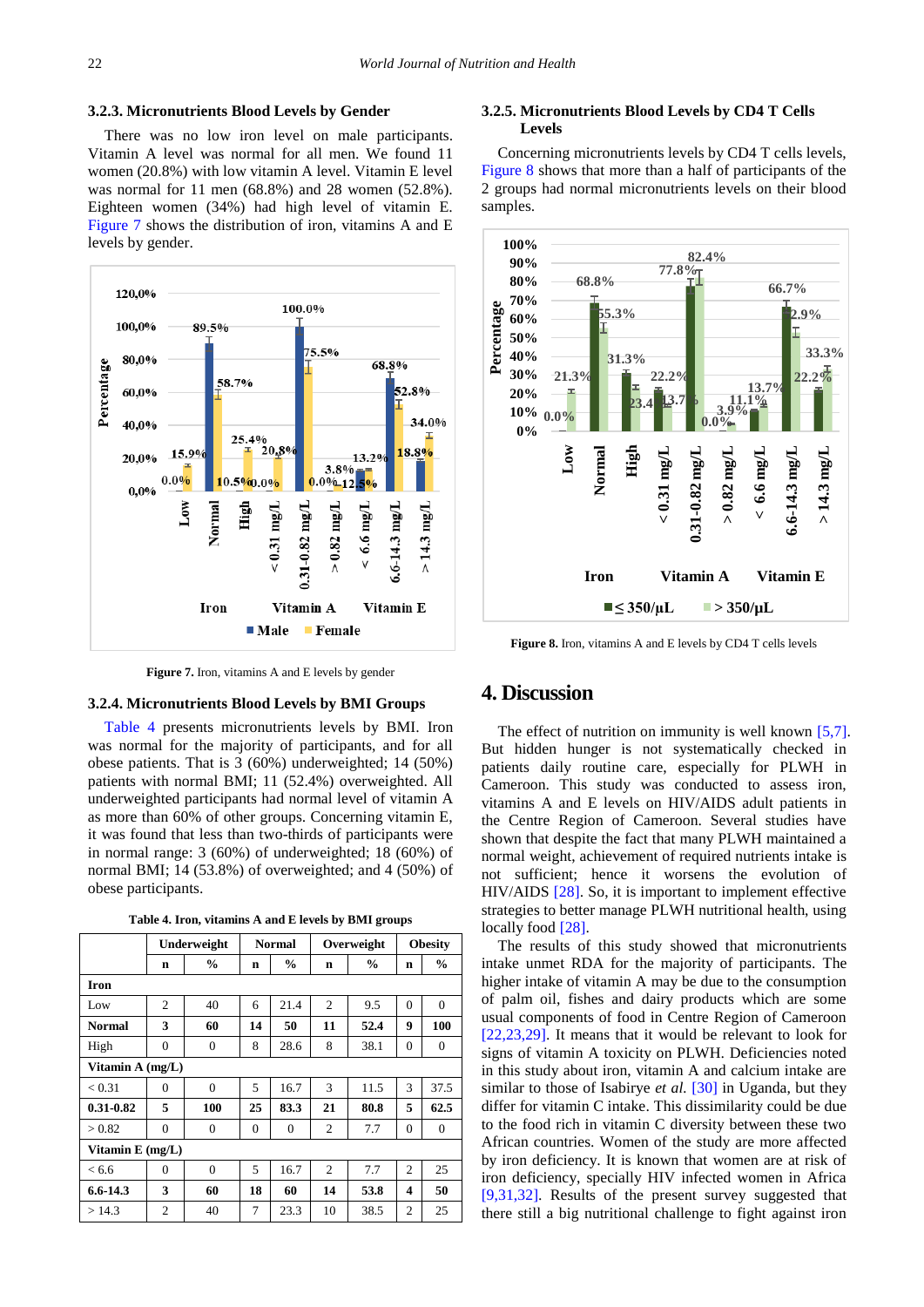#### **3.2.3. Micronutrients Blood Levels by Gender**

There was no low iron level on male participants. Vitamin A level was normal for all men. We found 11 women (20.8%) with low vitamin A level. Vitamin E level was normal for 11 men (68.8%) and 28 women (52.8%). Eighteen women (34%) had high level of vitamin E. [Figure 7](#page-4-0) shows the distribution of iron, vitamins A and E levels by gender.

<span id="page-4-0"></span>

**Figure 7.** Iron, vitamins A and E levels by gender

#### **3.2.4. Micronutrients Blood Levels by BMI Groups**

[Table 4](#page-4-1) presents micronutrients levels by BMI. Iron was normal for the majority of participants, and for all obese patients. That is 3 (60%) underweighted; 14 (50%) patients with normal BMI; 11 (52.4%) overweighted. All underweighted participants had normal level of vitamin A as more than 60% of other groups. Concerning vitamin E, it was found that less than two-thirds of participants were in normal range: 3 (60%) of underweighted; 18 (60%) of normal BMI; 14 (53.8%) of overweighted; and 4 (50%) of obese participants.

**Table 4. Iron, vitamins A and E levels by BMI groups**

<span id="page-4-1"></span>

|                  | Underweight      |                | <b>Normal</b>  |          | Overweight     |               | <b>Obesity</b> |               |
|------------------|------------------|----------------|----------------|----------|----------------|---------------|----------------|---------------|
|                  | n                | $\frac{0}{0}$  | n              | $\%$     | n              | $\frac{0}{0}$ | n              | $\frac{0}{0}$ |
| Iron             |                  |                |                |          |                |               |                |               |
| Low              | $\overline{c}$   | 40             | 6              | 21.4     | $\overline{c}$ | 9.5           | $\Omega$       | $\mathbf{0}$  |
| <b>Normal</b>    | 3                | 60             | 14             | 50       | 11             | 52.4          | 9              | 100           |
| High             | $\mathbf{0}$     | $\mathbf{0}$   | 8              | 28.6     | 8              | 38.1          | $\overline{0}$ | $\mathbf{0}$  |
|                  | Vitamin A (mg/L) |                |                |          |                |               |                |               |
| < 0.31           | $\Omega$         | $\Omega$       | 5              | 16.7     | 3              | 11.5          | 3              | 37.5          |
| $0.31 - 0.82$    | 5                | 100            | 25             | 83.3     | 21             | 80.8          | 5              | 62.5          |
| > 0.82           | $\Omega$         | $\mathbf{0}$   | $\Omega$       | $\theta$ | $\overline{c}$ | 7.7           | $\overline{0}$ | $\mathbf{0}$  |
| Vitamin E (mg/L) |                  |                |                |          |                |               |                |               |
| < 6.6            | $\Omega$         | $\overline{0}$ | $\overline{5}$ | 16.7     | $\overline{c}$ | 7.7           | $\overline{c}$ | 25            |
| $6.6 - 14.3$     | 3                | 60             | 18             | 60       | 14             | 53.8          | 4              | 50            |
| >14.3            | $\overline{c}$   | 40             | 7              | 23.3     | 10             | 38.5          | 2              | 25            |

#### **3.2.5. Micronutrients Blood Levels by CD4 T Cells Levels**

Concerning micronutrients levels by CD4 T cells levels, [Figure 8](#page-4-2) shows that more than a half of participants of the 2 groups had normal micronutrients levels on their blood samples.

<span id="page-4-2"></span>

**Figure 8.** Iron, vitamins A and E levels by CD4 T cells levels

# **4. Discussion**

The effect of nutrition on immunity is well known [\[5,7\].](#page-5-6) But hidden hunger is not systematically checked in patients daily routine care, especially for PLWH in Cameroon. This study was conducted to assess iron, vitamins A and E levels on HIV/AIDS adult patients in the Centre Region of Cameroon. Several studies have shown that despite the fact that many PLWH maintained a normal weight, achievement of required nutrients intake is not sufficient; hence it worsens the evolution of HIV/AIDS [\[28\].](#page-6-10) So, it is important to implement effective strategies to better manage PLWH nutritional health, using locally foo[d \[28\].](#page-6-10)

The results of this study showed that micronutrients intake unmet RDA for the majority of participants. The higher intake of vitamin A may be due to the consumption of palm oil, fishes and dairy products which are some usual components of food in Centre Region of Cameroon [\[22,23,29\].](#page-6-6) It means that it would be relevant to look for signs of vitamin A toxicity on PLWH. Deficiencies noted in this study about iron, vitamin A and calcium intake are similar to those of Isabirye *et al.* [\[30\]](#page-6-11) in Uganda, but they differ for vitamin C intake. This dissimilarity could be due to the food rich in vitamin C diversity between these two African countries. Women of the study are more affected by iron deficiency. It is known that women are at risk of iron deficiency, specially HIV infected women in Africa [\[9,31,32\].](#page-5-4) Results of the present survey suggested that there still a big nutritional challenge to fight against iron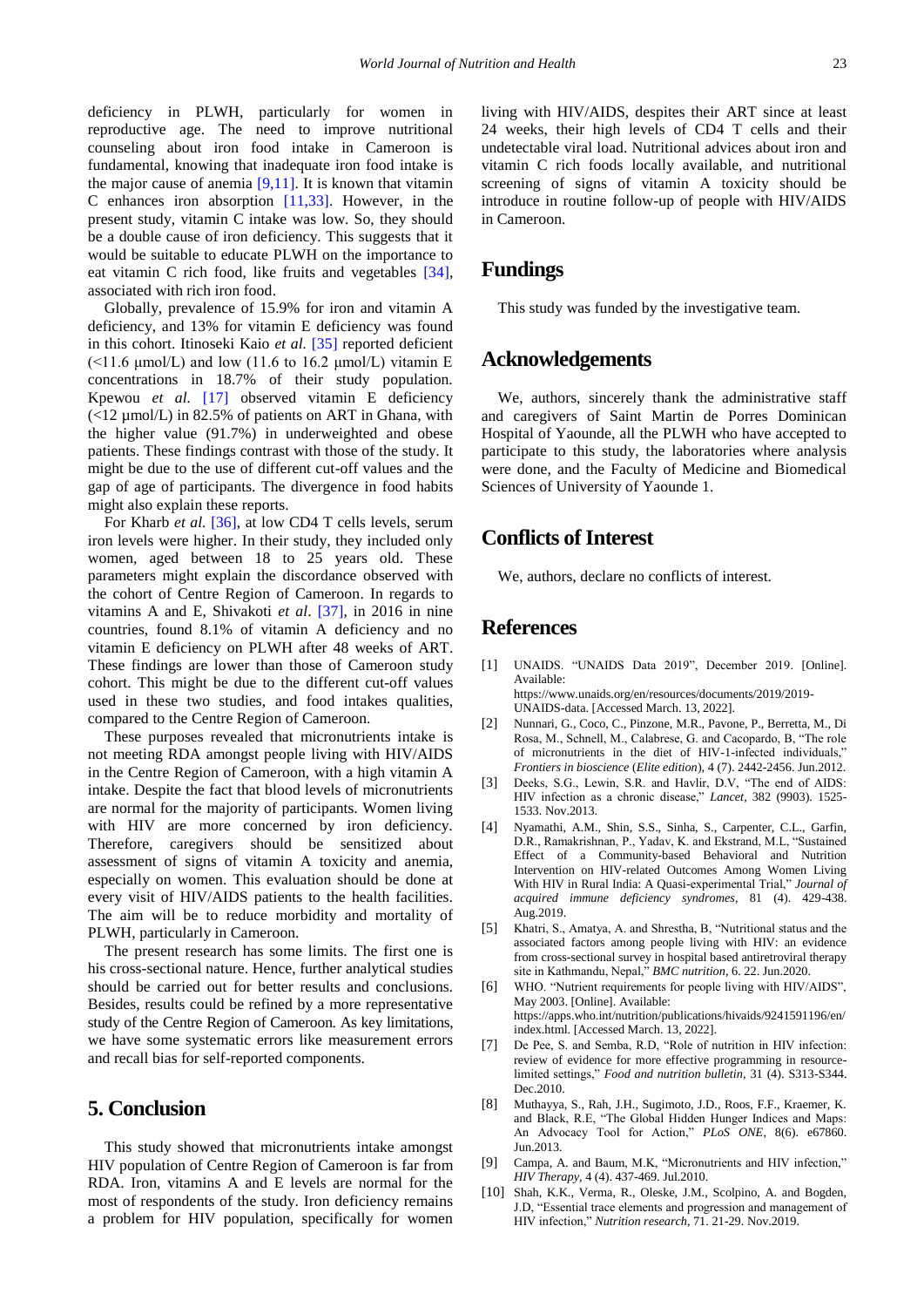deficiency in PLWH, particularly for women in reproductive age. The need to improve nutritional counseling about iron food intake in Cameroon is fundamental, knowing that inadequate iron food intake is the major cause of anemia  $[9,11]$ . It is known that vitamin C enhances iron absorption [\[11,33\].](#page-6-0) However, in the present study, vitamin C intake was low. So, they should be a double cause of iron deficiency. This suggests that it would be suitable to educate PLWH on the importance to eat vitamin C rich food, like fruits and vegetables [\[34\],](#page-6-12) associated with rich iron food.

Globally, prevalence of 15.9% for iron and vitamin A deficiency, and 13% for vitamin E deficiency was found in this cohort. Itinoseki Kaio *et al.* [\[35\]](#page-6-13) reported deficient ( $\leq$ 11.6 μmol/L) and low (11.6 to 16.2 μmol/L) vitamin E concentrations in 18.7% of their study population. Kpewou *et al.* [\[17\]](#page-6-14) observed vitamin E deficiency (<12 µmol/L) in 82.5% of patients on ART in Ghana, with the higher value (91.7%) in underweighted and obese patients. These findings contrast with those of the study. It might be due to the use of different cut-off values and the gap of age of participants. The divergence in food habits might also explain these reports.

For Kharb *et al*. [\[36\],](#page-6-15) at low CD4 T cells levels, serum iron levels were higher. In their study, they included only women, aged between 18 to 25 years old. These parameters might explain the discordance observed with the cohort of Centre Region of Cameroon. In regards to vitamins A and E, Shivakoti *et al*. [\[37\],](#page-6-16) in 2016 in nine countries, found 8.1% of vitamin A deficiency and no vitamin E deficiency on PLWH after 48 weeks of ART. These findings are lower than those of Cameroon study cohort. This might be due to the different cut-off values used in these two studies, and food intakes qualities, compared to the Centre Region of Cameroon.

These purposes revealed that micronutrients intake is not meeting RDA amongst people living with HIV/AIDS in the Centre Region of Cameroon, with a high vitamin A intake. Despite the fact that blood levels of micronutrients are normal for the majority of participants. Women living with HIV are more concerned by iron deficiency. Therefore, caregivers should be sensitized about assessment of signs of vitamin A toxicity and anemia, especially on women. This evaluation should be done at every visit of HIV/AIDS patients to the health facilities. The aim will be to reduce morbidity and mortality of PLWH, particularly in Cameroon.

The present research has some limits. The first one is his cross-sectional nature. Hence, further analytical studies should be carried out for better results and conclusions. Besides, results could be refined by a more representative study of the Centre Region of Cameroon. As key limitations, we have some systematic errors like measurement errors and recall bias for self-reported components.

# **5. Conclusion**

This study showed that micronutrients intake amongst HIV population of Centre Region of Cameroon is far from RDA. Iron, vitamins A and E levels are normal for the most of respondents of the study. Iron deficiency remains a problem for HIV population, specifically for women

living with HIV/AIDS, despites their ART since at least 24 weeks, their high levels of CD4 T cells and their undetectable viral load. Nutritional advices about iron and vitamin C rich foods locally available, and nutritional screening of signs of vitamin A toxicity should be introduce in routine follow-up of people with HIV/AIDS in Cameroon.

# **Fundings**

This study was funded by the investigative team.

# **Acknowledgements**

We, authors, sincerely thank the administrative staff and caregivers of Saint Martin de Porres Dominican Hospital of Yaounde, all the PLWH who have accepted to participate to this study, the laboratories where analysis were done, and the Faculty of Medicine and Biomedical Sciences of University of Yaounde 1.

# **Conflicts of Interest**

We, authors, declare no conflicts of interest.

# **References**

- <span id="page-5-0"></span>[1] UNAIDS. "UNAIDS Data 2019", December 2019. [Online]. Available: https://www.unaids.org/en/resources/documents/2019/2019-
- <span id="page-5-1"></span>UNAIDS-data. [Accessed March. 13, 2022]. [2] Nunnari, G., Coco, C., Pinzone, M.R., Pavone, P., Berretta, M., Di Rosa, M., Schnell, M., Calabrese, G. and Cacopardo, B, "The role
- of micronutrients in the diet of HIV-1-infected individuals," *Frontiers in bioscience* (*Elite edition*)*,* 4 (7). 2442-2456. Jun.2012. [3] Deeks, S.G., Lewin, S.R. and Havlir, D.V, "The end of AIDS:
- <span id="page-5-2"></span>HIV infection as a chronic disease," *Lancet*, 382 (9903). 1525- 1533. Nov.2013.
- [4] Nyamathi, A.M., Shin, S.S., Sinha, S., Carpenter, C.L., Garfin, D.R., Ramakrishnan, P., Yadav, K. and Ekstrand, M.L, "Sustained Effect of a Community-based Behavioral and Nutrition Intervention on HIV-related Outcomes Among Women Living With HIV in Rural India: A Quasi-experimental Trial," *Journal of acquired immune deficiency syndromes*, 81 (4). 429-438. Aug.2019.
- <span id="page-5-6"></span>[5] Khatri, S., Amatya, A. and Shrestha, B, "Nutritional status and the associated factors among people living with HIV: an evidence from cross-sectional survey in hospital based antiretroviral therapy site in Kathmandu, Nepal," *BMC nutrition*, 6. 22. Jun.2020.
- [6] WHO. "Nutrient requirements for people living with HIV/AIDS", May 2003. [Online]. Available: https://apps.who.int/nutrition/publications/hivaids/9241591196/en/ index.html. [Accessed March. 13, 2022].
- [7] De Pee, S. and Semba, R.D, "Role of nutrition in HIV infection: review of evidence for more effective programming in resourcelimited settings," *Food and nutrition bulletin*, 31 (4). S313-S344. Dec.2010.
- <span id="page-5-3"></span>[8] Muthayya, S., Rah, J.H., Sugimoto, J.D., Roos, F.F., Kraemer, K. and Black, R.E, "The Global Hidden Hunger Indices and Maps: An Advocacy Tool for Action," *PLoS ONE*, 8(6). e67860. Jun.2013.
- <span id="page-5-4"></span>[9] Campa, A. and Baum, M.K, "Micronutrients and HIV infection," *HIV Therapy*, 4 (4). 437-469. Jul.2010.
- <span id="page-5-5"></span>[10] Shah, K.K., Verma, R., Oleske, J.M., Scolpino, A. and Bogden, J.D, "Essential trace elements and progression and management of HIV infection," *Nutrition research*, 71. 21-29. Nov.2019.